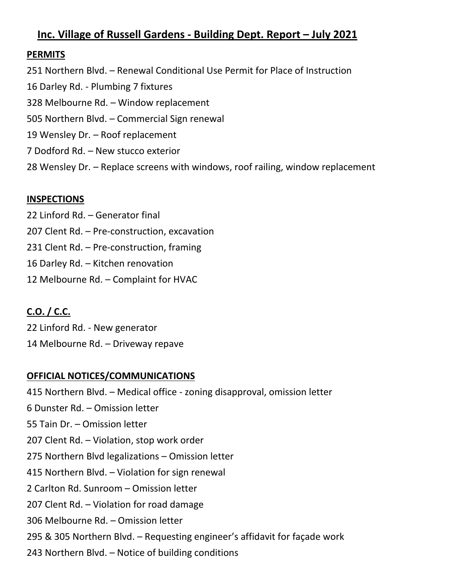## **Inc. Village of Russell Gardens - Building Dept. Report – July 2021**

### **PERMITS**

251 Northern Blvd. – Renewal Conditional Use Permit for Place of Instruction 16 Darley Rd. - Plumbing 7 fixtures 328 Melbourne Rd. – Window replacement 505 Northern Blvd. – Commercial Sign renewal 19 Wensley Dr. – Roof replacement 7 Dodford Rd. – New stucco exterior 28 Wensley Dr. – Replace screens with windows, roof railing, window replacement

### **INSPECTIONS**

- 22 Linford Rd. Generator final 207 Clent Rd. – Pre-construction, excavation 231 Clent Rd. – Pre-construction, framing 16 Darley Rd. – Kitchen renovation
- 12 Melbourne Rd. Complaint for HVAC

# **C.O. / C.C.**

22 Linford Rd. - New generator 14 Melbourne Rd. – Driveway repave

### **OFFICIAL NOTICES/COMMUNICATIONS**

415 Northern Blvd. – Medical office - zoning disapproval, omission letter 6 Dunster Rd. – Omission letter 55 Tain Dr. – Omission letter 207 Clent Rd. – Violation, stop work order 275 Northern Blvd legalizations – Omission letter 415 Northern Blvd. – Violation for sign renewal 2 Carlton Rd. Sunroom – Omission letter 207 Clent Rd. – Violation for road damage 306 Melbourne Rd. – Omission letter 295 & 305 Northern Blvd. – Requesting engineer's affidavit for façade work 243 Northern Blvd. – Notice of building conditions